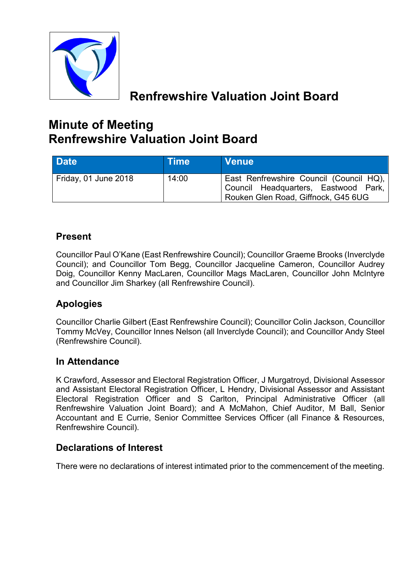

# **Renfrewshire Valuation Joint Board**

# **Minute of Meeting Renfrewshire Valuation Joint Board**

| Date                 | <b>Time</b> | <b>Nenue</b>                                                                                                           |
|----------------------|-------------|------------------------------------------------------------------------------------------------------------------------|
| Friday, 01 June 2018 | 14:00       | East Renfrewshire Council (Council HQ),<br>Council Headquarters, Eastwood Park,<br>Rouken Glen Road, Giffnock, G45 6UG |

## **Present**

Councillor Paul O'Kane (East Renfrewshire Council); Councillor Graeme Brooks (Inverclyde Council); and Councillor Tom Begg, Councillor Jacqueline Cameron, Councillor Audrey Doig, Councillor Kenny MacLaren, Councillor Mags MacLaren, Councillor John McIntyre and Councillor Jim Sharkey (all Renfrewshire Council).

## **Apologies**

Councillor Charlie Gilbert (East Renfrewshire Council); Councillor Colin Jackson, Councillor Tommy McVey, Councillor Innes Nelson (all Inverclyde Council); and Councillor Andy Steel (Renfrewshire Council).

## **In Attendance**

K Crawford, Assessor and Electoral Registration Officer, J Murgatroyd, Divisional Assessor and Assistant Electoral Registration Officer, L Hendry, Divisional Assessor and Assistant Electoral Registration Officer and S Carlton, Principal Administrative Officer (all Renfrewshire Valuation Joint Board); and A McMahon, Chief Auditor, M Ball, Senior Accountant and E Currie, Senior Committee Services Officer (all Finance & Resources, Renfrewshire Council).

## **Declarations of Interest**

There were no declarations of interest intimated prior to the commencement of the meeting.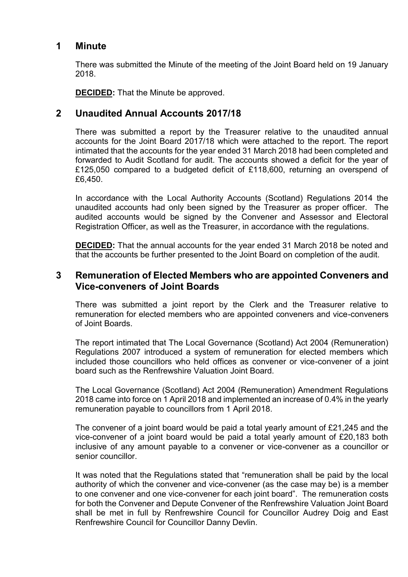#### **1 Minute**

There was submitted the Minute of the meeting of the Joint Board held on 19 January 2018.

**DECIDED:** That the Minute be approved.

### **2 Unaudited Annual Accounts 2017/18**

There was submitted a report by the Treasurer relative to the unaudited annual accounts for the Joint Board 2017/18 which were attached to the report. The report intimated that the accounts for the year ended 31 March 2018 had been completed and forwarded to Audit Scotland for audit. The accounts showed a deficit for the year of £125,050 compared to a budgeted deficit of £118,600, returning an overspend of £6,450.

In accordance with the Local Authority Accounts (Scotland) Regulations 2014 the unaudited accounts had only been signed by the Treasurer as proper officer. The audited accounts would be signed by the Convener and Assessor and Electoral Registration Officer, as well as the Treasurer, in accordance with the regulations.

**DECIDED:** That the annual accounts for the year ended 31 March 2018 be noted and that the accounts be further presented to the Joint Board on completion of the audit.

#### **3 Remuneration of Elected Members who are appointed Conveners and Vice-conveners of Joint Boards**

There was submitted a joint report by the Clerk and the Treasurer relative to remuneration for elected members who are appointed conveners and vice-conveners of Joint Boards.

The report intimated that The Local Governance (Scotland) Act 2004 (Remuneration) Regulations 2007 introduced a system of remuneration for elected members which included those councillors who held offices as convener or vice-convener of a joint board such as the Renfrewshire Valuation Joint Board.

The Local Governance (Scotland) Act 2004 (Remuneration) Amendment Regulations 2018 came into force on 1 April 2018 and implemented an increase of 0.4% in the yearly remuneration payable to councillors from 1 April 2018.

The convener of a joint board would be paid a total yearly amount of £21,245 and the vice-convener of a joint board would be paid a total yearly amount of £20,183 both inclusive of any amount payable to a convener or vice-convener as a councillor or senior councillor.

It was noted that the Regulations stated that "remuneration shall be paid by the local authority of which the convener and vice-convener (as the case may be) is a member to one convener and one vice-convener for each joint board". The remuneration costs for both the Convener and Depute Convener of the Renfrewshire Valuation Joint Board shall be met in full by Renfrewshire Council for Councillor Audrey Doig and East Renfrewshire Council for Councillor Danny Devlin.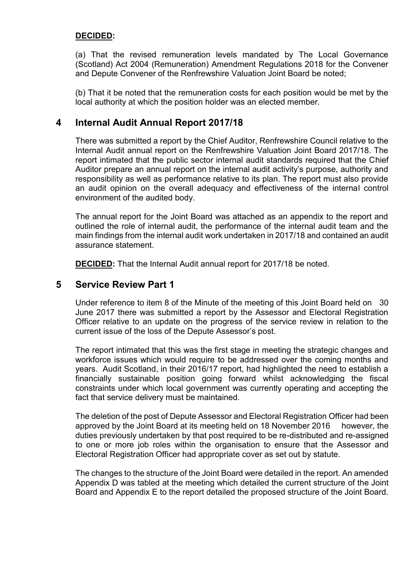#### **DECIDED:**

(a) That the revised remuneration levels mandated by The Local Governance (Scotland) Act 2004 (Remuneration) Amendment Regulations 2018 for the Convener and Depute Convener of the Renfrewshire Valuation Joint Board be noted;

(b) That it be noted that the remuneration costs for each position would be met by the local authority at which the position holder was an elected member.

#### **4 Internal Audit Annual Report 2017/18**

There was submitted a report by the Chief Auditor, Renfrewshire Council relative to the Internal Audit annual report on the Renfrewshire Valuation Joint Board 2017/18. The report intimated that the public sector internal audit standards required that the Chief Auditor prepare an annual report on the internal audit activity's purpose, authority and responsibility as well as performance relative to its plan. The report must also provide an audit opinion on the overall adequacy and effectiveness of the internal control environment of the audited body.

The annual report for the Joint Board was attached as an appendix to the report and outlined the role of internal audit, the performance of the internal audit team and the main findings from the internal audit work undertaken in 2017/18 and contained an audit assurance statement.

**DECIDED:** That the Internal Audit annual report for 2017/18 be noted.

#### **5 Service Review Part 1**

Under reference to item 8 of the Minute of the meeting of this Joint Board held on 30 June 2017 there was submitted a report by the Assessor and Electoral Registration Officer relative to an update on the progress of the service review in relation to the current issue of the loss of the Depute Assessor's post.

The report intimated that this was the first stage in meeting the strategic changes and workforce issues which would require to be addressed over the coming months and years. Audit Scotland, in their 2016/17 report, had highlighted the need to establish a financially sustainable position going forward whilst acknowledging the fiscal constraints under which local government was currently operating and accepting the fact that service delivery must be maintained.

The deletion of the post of Depute Assessor and Electoral Registration Officer had been approved by the Joint Board at its meeting held on 18 November 2016 however, the duties previously undertaken by that post required to be re-distributed and re-assigned to one or more job roles within the organisation to ensure that the Assessor and Electoral Registration Officer had appropriate cover as set out by statute.

The changes to the structure of the Joint Board were detailed in the report. An amended Appendix D was tabled at the meeting which detailed the current structure of the Joint Board and Appendix E to the report detailed the proposed structure of the Joint Board.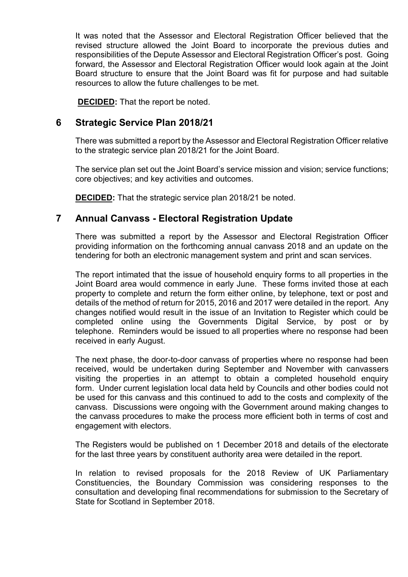It was noted that the Assessor and Electoral Registration Officer believed that the revised structure allowed the Joint Board to incorporate the previous duties and responsibilities of the Depute Assessor and Electoral Registration Officer's post. Going forward, the Assessor and Electoral Registration Officer would look again at the Joint Board structure to ensure that the Joint Board was fit for purpose and had suitable resources to allow the future challenges to be met.

**DECIDED:** That the report be noted.

### **6 Strategic Service Plan 2018/21**

There was submitted a report by the Assessor and Electoral Registration Officer relative to the strategic service plan 2018/21 for the Joint Board.

The service plan set out the Joint Board's service mission and vision; service functions; core objectives; and key activities and outcomes.

**DECIDED:** That the strategic service plan 2018/21 be noted.

#### **7 Annual Canvass - Electoral Registration Update**

There was submitted a report by the Assessor and Electoral Registration Officer providing information on the forthcoming annual canvass 2018 and an update on the tendering for both an electronic management system and print and scan services.

The report intimated that the issue of household enquiry forms to all properties in the Joint Board area would commence in early June. These forms invited those at each property to complete and return the form either online, by telephone, text or post and details of the method of return for 2015, 2016 and 2017 were detailed in the report. Any changes notified would result in the issue of an Invitation to Register which could be completed online using the Governments Digital Service, by post or by telephone. Reminders would be issued to all properties where no response had been received in early August.

The next phase, the door-to-door canvass of properties where no response had been received, would be undertaken during September and November with canvassers visiting the properties in an attempt to obtain a completed household enquiry form. Under current legislation local data held by Councils and other bodies could not be used for this canvass and this continued to add to the costs and complexity of the canvass. Discussions were ongoing with the Government around making changes to the canvass procedures to make the process more efficient both in terms of cost and engagement with electors.

The Registers would be published on 1 December 2018 and details of the electorate for the last three years by constituent authority area were detailed in the report.

In relation to revised proposals for the 2018 Review of UK Parliamentary Constituencies, the Boundary Commission was considering responses to the consultation and developing final recommendations for submission to the Secretary of State for Scotland in September 2018.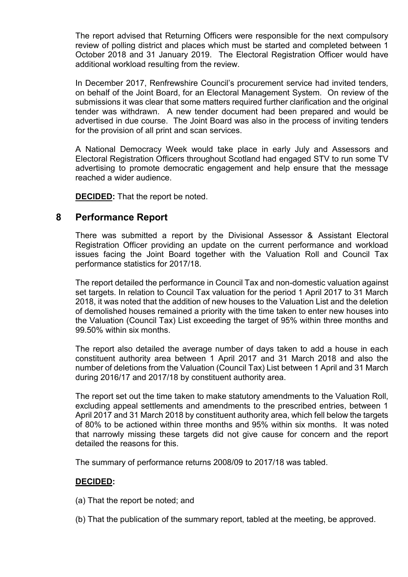The report advised that Returning Officers were responsible for the next compulsory review of polling district and places which must be started and completed between 1 October 2018 and 31 January 2019. The Electoral Registration Officer would have additional workload resulting from the review.

In December 2017, Renfrewshire Council's procurement service had invited tenders, on behalf of the Joint Board, for an Electoral Management System. On review of the submissions it was clear that some matters required further clarification and the original tender was withdrawn. A new tender document had been prepared and would be advertised in due course. The Joint Board was also in the process of inviting tenders for the provision of all print and scan services.

A National Democracy Week would take place in early July and Assessors and Electoral Registration Officers throughout Scotland had engaged STV to run some TV advertising to promote democratic engagement and help ensure that the message reached a wider audience.

**DECIDED:** That the report be noted.

#### **8 Performance Report**

There was submitted a report by the Divisional Assessor & Assistant Electoral Registration Officer providing an update on the current performance and workload issues facing the Joint Board together with the Valuation Roll and Council Tax performance statistics for 2017/18.

The report detailed the performance in Council Tax and non-domestic valuation against set targets. In relation to Council Tax valuation for the period 1 April 2017 to 31 March 2018, it was noted that the addition of new houses to the Valuation List and the deletion of demolished houses remained a priority with the time taken to enter new houses into the Valuation (Council Tax) List exceeding the target of 95% within three months and 99.50% within six months.

The report also detailed the average number of days taken to add a house in each constituent authority area between 1 April 2017 and 31 March 2018 and also the number of deletions from the Valuation (Council Tax) List between 1 April and 31 March during 2016/17 and 2017/18 by constituent authority area.

The report set out the time taken to make statutory amendments to the Valuation Roll, excluding appeal settlements and amendments to the prescribed entries, between 1 April 2017 and 31 March 2018 by constituent authority area, which fell below the targets of 80% to be actioned within three months and 95% within six months. It was noted that narrowly missing these targets did not give cause for concern and the report detailed the reasons for this.

The summary of performance returns 2008/09 to 2017/18 was tabled.

#### **DECIDED:**

(a) That the report be noted; and

(b) That the publication of the summary report, tabled at the meeting, be approved.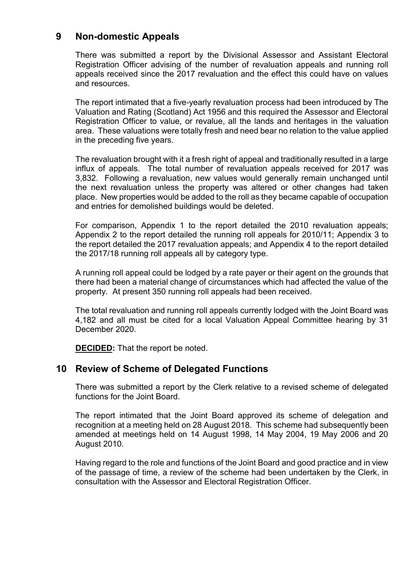### **9 Non-domestic Appeals**

There was submitted a report by the Divisional Assessor and Assistant Electoral Registration Officer advising of the number of revaluation appeals and running roll appeals received since the 2017 revaluation and the effect this could have on values and resources.

The report intimated that a five-yearly revaluation process had been introduced by The Valuation and Rating (Scotland) Act 1956 and this required the Assessor and Electoral Registration Officer to value, or revalue, all the lands and heritages in the valuation area. These valuations were totally fresh and need bear no relation to the value applied in the preceding five years.

The revaluation brought with it a fresh right of appeal and traditionally resulted in a large influx of appeals. The total number of revaluation appeals received for 2017 was 3,832. Following a revaluation, new values would generally remain unchanged until the next revaluation unless the property was altered or other changes had taken place. New properties would be added to the roll as they became capable of occupation and entries for demolished buildings would be deleted.

For comparison, Appendix 1 to the report detailed the 2010 revaluation appeals; Appendix 2 to the report detailed the running roll appeals for 2010/11; Appendix 3 to the report detailed the 2017 revaluation appeals; and Appendix 4 to the report detailed the 2017/18 running roll appeals all by category type.

A running roll appeal could be lodged by a rate payer or their agent on the grounds that there had been a material change of circumstances which had affected the value of the property. At present 350 running roll appeals had been received.

The total revaluation and running roll appeals currently lodged with the Joint Board was 4,182 and all must be cited for a local Valuation Appeal Committee hearing by 31 December 2020.

**DECIDED:** That the report be noted.

#### **10 Review of Scheme of Delegated Functions**

There was submitted a report by the Clerk relative to a revised scheme of delegated functions for the Joint Board.

The report intimated that the Joint Board approved its scheme of delegation and recognition at a meeting held on 28 August 2018. This scheme had subsequently been amended at meetings held on 14 August 1998, 14 May 2004, 19 May 2006 and 20 August 2010.

Having regard to the role and functions of the Joint Board and good practice and in view of the passage of time, a review of the scheme had been undertaken by the Clerk, in consultation with the Assessor and Electoral Registration Officer.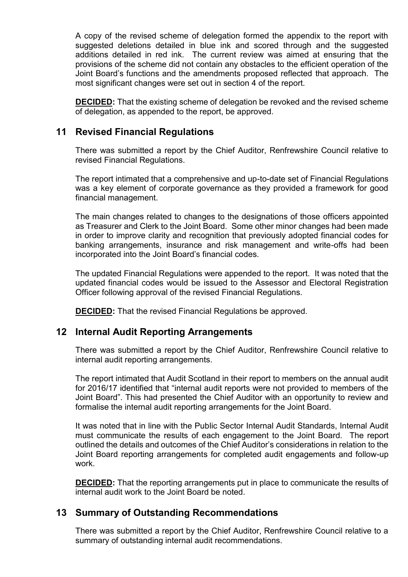A copy of the revised scheme of delegation formed the appendix to the report with suggested deletions detailed in blue ink and scored through and the suggested additions detailed in red ink. The current review was aimed at ensuring that the provisions of the scheme did not contain any obstacles to the efficient operation of the Joint Board's functions and the amendments proposed reflected that approach. The most significant changes were set out in section 4 of the report.

**DECIDED:** That the existing scheme of delegation be revoked and the revised scheme of delegation, as appended to the report, be approved.

### **11 Revised Financial Regulations**

There was submitted a report by the Chief Auditor, Renfrewshire Council relative to revised Financial Regulations.

The report intimated that a comprehensive and up-to-date set of Financial Regulations was a key element of corporate governance as they provided a framework for good financial management.

The main changes related to changes to the designations of those officers appointed as Treasurer and Clerk to the Joint Board. Some other minor changes had been made in order to improve clarity and recognition that previously adopted financial codes for banking arrangements, insurance and risk management and write-offs had been incorporated into the Joint Board's financial codes.

The updated Financial Regulations were appended to the report. It was noted that the updated financial codes would be issued to the Assessor and Electoral Registration Officer following approval of the revised Financial Regulations.

**DECIDED:** That the revised Financial Regulations be approved.

#### **12 Internal Audit Reporting Arrangements**

There was submitted a report by the Chief Auditor, Renfrewshire Council relative to internal audit reporting arrangements.

The report intimated that Audit Scotland in their report to members on the annual audit for 2016/17 identified that "internal audit reports were not provided to members of the Joint Board". This had presented the Chief Auditor with an opportunity to review and formalise the internal audit reporting arrangements for the Joint Board.

It was noted that in line with the Public Sector Internal Audit Standards, Internal Audit must communicate the results of each engagement to the Joint Board. The report outlined the details and outcomes of the Chief Auditor's considerations in relation to the Joint Board reporting arrangements for completed audit engagements and follow-up work.

**DECIDED:** That the reporting arrangements put in place to communicate the results of internal audit work to the Joint Board be noted.

#### **13 Summary of Outstanding Recommendations**

There was submitted a report by the Chief Auditor, Renfrewshire Council relative to a summary of outstanding internal audit recommendations.